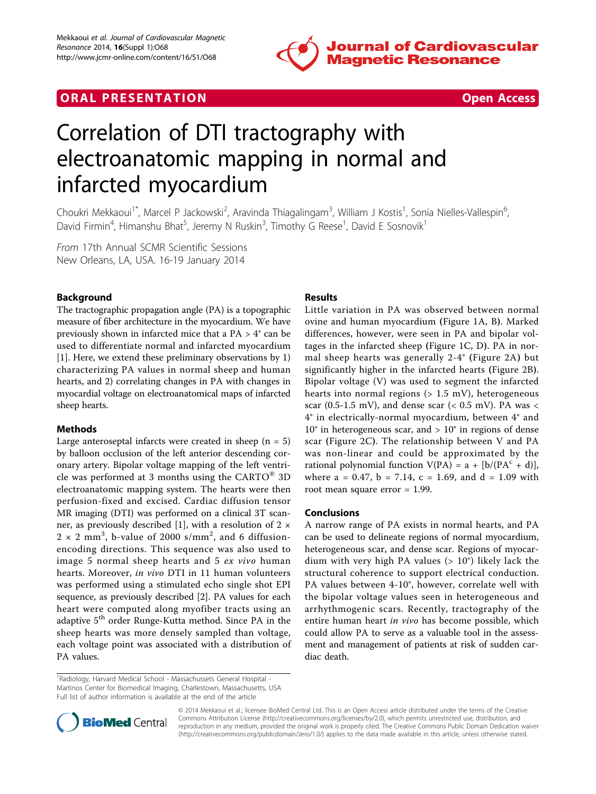

# **ORAL PRESENTATION CONSUMING ACCESS**



# Correlation of DTI tractography with electroanatomic mapping in normal and infarcted myocardium

Choukri Mekkaoui<sup>1\*</sup>, Marcel P Jackowski<sup>2</sup>, Aravinda Thiagalingam<sup>3</sup>, William J Kostis<sup>1</sup>, Sonia Nielles-Vallespin<sup>6</sup> .<br>, David Firmin<sup>4</sup>, Himanshu Bhat<sup>5</sup>, Jeremy N Ruskin<sup>3</sup>, Timothy G Reese<sup>1</sup>, David E Sosnovik<sup>1</sup>

From 17th Annual SCMR Scientific Sessions New Orleans, LA, USA. 16-19 January 2014

# Background

The tractographic propagation angle (PA) is a topographic measure of fiber architecture in the myocardium. We have previously shown in infarcted mice that a PA > 4° can be used to differentiate normal and infarcted myocardium [[1\]](#page-2-0). Here, we extend these preliminary observations by 1) characterizing PA values in normal sheep and human hearts, and 2) correlating changes in PA with changes in myocardial voltage on electroanatomical maps of infarcted sheep hearts.

## Methods

Large anteroseptal infarcts were created in sheep  $(n = 5)$ by balloon occlusion of the left anterior descending coronary artery. Bipolar voltage mapping of the left ventricle was performed at 3 months using the CARTO® 3D electroanatomic mapping system. The hearts were then perfusion-fixed and excised. Cardiac diffusion tensor MR imaging (DTI) was performed on a clinical 3T scan-ner, as previously described [[1\]](#page-2-0), with a resolution of  $2 \times$  $2 \times 2$  mm<sup>3</sup>, b-value of 2000 s/mm<sup>2</sup>, and 6 diffusionencoding directions. This sequence was also used to image 5 normal sheep hearts and 5 ex vivo human hearts. Moreover, in vivo DTI in 11 human volunteers was performed using a stimulated echo single shot EPI sequence, as previously described [\[2\]](#page-2-0). PA values for each heart were computed along myofiber tracts using an adaptive 5th order Runge-Kutta method. Since PA in the sheep hearts was more densely sampled than voltage, each voltage point was associated with a distribution of PA values.

## **Results**

Little variation in PA was observed between normal ovine and human myocardium (Figure [1A, B](#page-1-0)). Marked differences, however, were seen in PA and bipolar voltages in the infarcted sheep (Figure [1C, D](#page-1-0)). PA in normal sheep hearts was generally 2-4° (Figure [2A](#page-1-0)) but significantly higher in the infarcted hearts (Figure [2B](#page-1-0)). Bipolar voltage (V) was used to segment the infarcted hearts into normal regions  $(> 1.5 \text{ mV})$ , heterogeneous scar (0.5-1.5 mV), and dense scar (< 0.5 mV). PA was < 4° in electrically-normal myocardium, between 4° and  $10^\circ$  in heterogeneous scar, and  $> 10^\circ$  in regions of dense scar (Figure [2C](#page-1-0)). The relationship between V and PA was non-linear and could be approximated by the rational polynomial function  $V(PA) = a + [b/(PA<sup>c</sup> + d)],$ where  $a = 0.47$ ,  $b = 7.14$ ,  $c = 1.69$ , and  $d = 1.09$  with root mean square error = 1.99.

#### Conclusions

A narrow range of PA exists in normal hearts, and PA can be used to delineate regions of normal myocardium, heterogeneous scar, and dense scar. Regions of myocardium with very high PA values  $(> 10^{\circ})$  likely lack the structural coherence to support electrical conduction. PA values between 4-10°, however, correlate well with the bipolar voltage values seen in heterogeneous and arrhythmogenic scars. Recently, tractography of the entire human heart in vivo has become possible, which could allow PA to serve as a valuable tool in the assessment and management of patients at risk of sudden cardiac death.

<sup>&</sup>lt;sup>1</sup> Radiology, Harvard Medical School - Massachussets General Hospital -Martinos Center for Biomedical Imaging, Charlestown, Massachusetts, USA Full list of author information is available at the end of the article



© 2014 Mekkaoui et al.; licensee BioMed Central Ltd. This is an Open Access article distributed under the terms of the Creative Commons Attribution License [\(http://creativecommons.org/licenses/by/2.0](http://creativecommons.org/licenses/by/2.0)), which permits unrestricted use, distribution, and reproduction in any medium, provided the original work is properly cited. The Creative Commons Public Domain Dedication waiver [\(http://creativecommons.org/publicdomain/zero/1.0/](http://creativecommons.org/publicdomain/zero/1.0/)) applies to the data made available in this article, unless otherwise stated.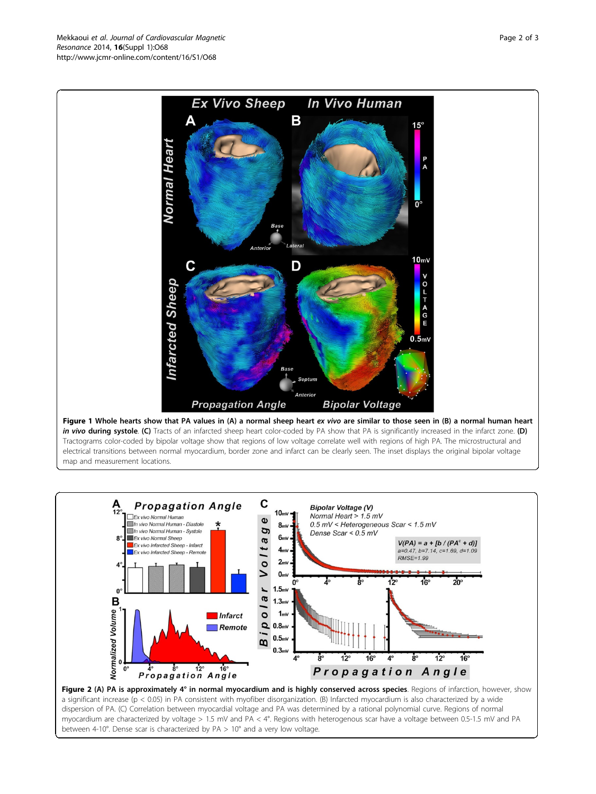Figure 1 Whole hearts show that PA values in (A) a normal sheep heart ex vivo are similar to those seen in (B) a normal human heart in vivo during systole. (C) Tracts of an infarcted sheep heart color-coded by PA show that PA is significantly increased in the infarct zone. (D) Tractograms color-coded by bipolar voltage show that regions of low voltage correlate well with regions of high PA. The microstructural and electrical transitions between normal myocardium, border zone and infarct can be clearly seen. The inset displays the original bipolar voltage map and measurement locations.



<span id="page-1-0"></span>